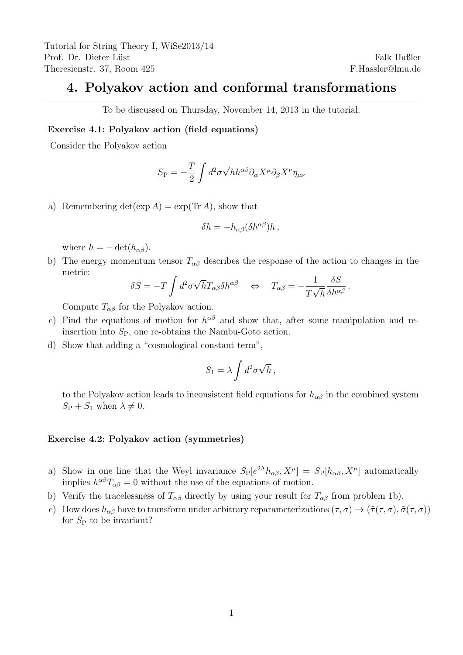## 4. Polyakov action and conformal transformations

To be discussed on Thursday, November 14, 2013 in the tutorial.

## Exercise 4.1: Polyakov action (field equations)

Consider the Polyakov action

$$
S_{\rm P} = -\frac{T}{2} \int d^2 \sigma \sqrt{h} h^{\alpha \beta} \partial_\alpha X^\mu \partial_\beta X^\nu \eta_{\mu\nu}
$$

a) Remembering  $\det(\exp A) = \exp(\text{Tr }A)$ , show that

$$
\delta h = -h_{\alpha\beta} (\delta h^{\alpha\beta}) h ,
$$

where  $h = -\det(h_{\alpha\beta})$ .

b) The energy momentum tensor  $T_{\alpha\beta}$  describes the response of the action to changes in the metric:

$$
\delta S = -T \int d^2 \sigma \sqrt{h} T_{\alpha\beta} \delta h^{\alpha\beta} \quad \Leftrightarrow \quad T_{\alpha\beta} = -\frac{1}{T\sqrt{h}} \frac{\delta S}{\delta h^{\alpha\beta}}.
$$

Compute  $T_{\alpha\beta}$  for the Polyakov action.

- c) Find the equations of motion for  $h^{\alpha\beta}$  and show that, after some manipulation and reinsertion into  $S_{P}$ , one re-obtains the Nambu-Goto action.
- d) Show that adding a "cosmological constant term",

$$
S_1 = \lambda \int d^2 \sigma \sqrt{h} \,,
$$

to the Polyakov action leads to inconsistent field equations for  $h_{\alpha\beta}$  in the combined system  $S_P + S_1$  when  $\lambda \neq 0$ .

## Exercise 4.2: Polyakov action (symmetries)

- a) Show in one line that the Weyl invariance  $S_P[e^{2\Lambda}h_{\alpha\beta}, X^\mu] = S_P[h_{\alpha\beta}, X^\mu]$  automatically implies  $h^{\alpha\beta}T_{\alpha\beta}=0$  without the use of the equations of motion.
- b) Verify the tracelessness of  $T_{\alpha\beta}$  directly by using your result for  $T_{\alpha\beta}$  from problem 1b).
- c) How does  $h_{\alpha\beta}$  have to transform under arbitrary reparameterizations  $(\tau,\sigma) \to (\tilde{\tau}(\tau,\sigma),\tilde{\sigma}(\tau,\sigma))$ for  $S_P$  to be invariant?